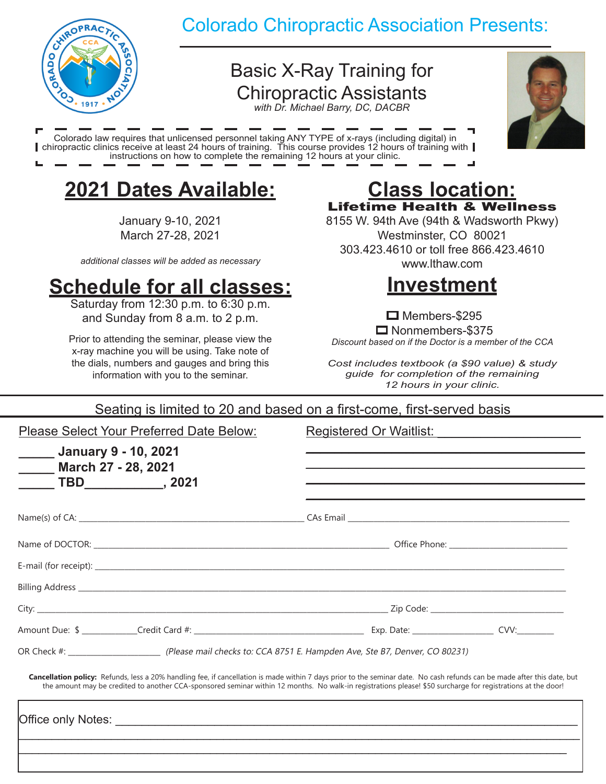

## Colorado Chiropractic Association Presents:

# Basic X-Ray Training for Chiropractic Assistants

*with Dr. Michael Barry, DC, DACBR*



Colorado law requires that unlicensed personnel taking ANY TYPE of x-rays (including digital) in chiropractic clinics receive at least 24 hours of training. This course provides 12 hours of training with instructions on how to complete the remaining 12 hours at your clinic.

# **2021 Dates Available:**

January 9-10, 2021 March 27-28, 2021

*additional classes will be added as necessary*

# **Schedule for all classes:**

Saturday from 12:30 p.m. to 6:30 p.m. and Sunday from 8 a.m. to 2 p.m.

Prior to attending the seminar, please view the x-ray machine you will be using. Take note of the dials, numbers and gauges and bring this information with you to the seminar.

### **Class location:** Lifetime Health & Wellness

8155 W. 94th Ave (94th & Wadsworth Pkwy) Westminster, CO 80021 303.423.4610 or toll free 866.423.4610 www.lthaw.com



 $\Box$  Members-\$295 Nonmembers-\$375 *Discount based on if the Doctor is a member of the CCA*

*Cost includes textbook (a \$90 value) & study guide for completion of the remaining 12 hours in your clinic.*

### Seating is limited to 20 and based on a first-come, first-served basis

Please Select Your Preferred Date Below:

Registered Or Waitlist:

| <b>Manuary 9 - 10, 2021</b><br><b>March 27 - 28, 2021</b>                                                                                                                                                                                                                                                                                |  |  |
|------------------------------------------------------------------------------------------------------------------------------------------------------------------------------------------------------------------------------------------------------------------------------------------------------------------------------------------|--|--|
|                                                                                                                                                                                                                                                                                                                                          |  |  |
|                                                                                                                                                                                                                                                                                                                                          |  |  |
|                                                                                                                                                                                                                                                                                                                                          |  |  |
|                                                                                                                                                                                                                                                                                                                                          |  |  |
|                                                                                                                                                                                                                                                                                                                                          |  |  |
|                                                                                                                                                                                                                                                                                                                                          |  |  |
| OR Check #: __________________________________(Please mail checks to: CCA 8751 E. Hampden Ave, Ste B7, Denver, CO 80231)                                                                                                                                                                                                                 |  |  |
| Cancellation policy: Refunds, less a 20% handling fee, if cancellation is made within 7 days prior to the seminar date. No cash refunds can be made after this date, but<br>the amount may be credited to another CCA-sponsored seminar within 12 months. No walk-in registrations please! \$50 surcharge for registrations at the door! |  |  |